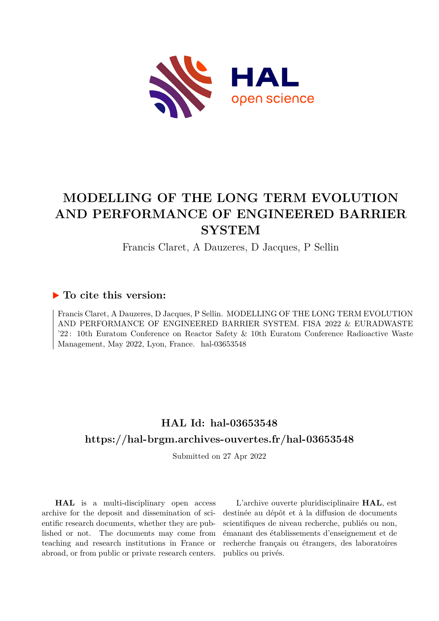

# **MODELLING OF THE LONG TERM EVOLUTION AND PERFORMANCE OF ENGINEERED BARRIER SYSTEM**

Francis Claret, A Dauzeres, D Jacques, P Sellin

### **To cite this version:**

Francis Claret, A Dauzeres, D Jacques, P Sellin. MODELLING OF THE LONG TERM EVOLUTION AND PERFORMANCE OF ENGINEERED BARRIER SYSTEM. FISA 2022 & EURADWASTE '22 : 10th Euratom Conference on Reactor Safety & 10th Euratom Conference Radioactive Waste Management, May 2022, Lyon, France. hal-03653548

## **HAL Id: hal-03653548 <https://hal-brgm.archives-ouvertes.fr/hal-03653548>**

Submitted on 27 Apr 2022

**HAL** is a multi-disciplinary open access archive for the deposit and dissemination of scientific research documents, whether they are published or not. The documents may come from teaching and research institutions in France or abroad, or from public or private research centers.

L'archive ouverte pluridisciplinaire **HAL**, est destinée au dépôt et à la diffusion de documents scientifiques de niveau recherche, publiés ou non, émanant des établissements d'enseignement et de recherche français ou étrangers, des laboratoires publics ou privés.